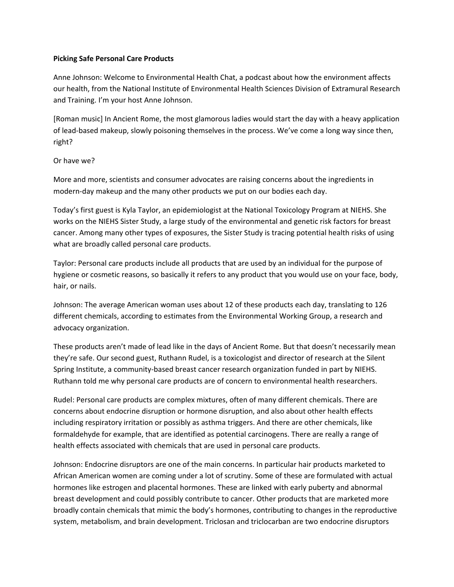## **Picking Safe Personal Care Products**

 Anne Johnson: Welcome to Environmental Health Chat, a podcast about how the environment affects our health, from the National Institute of Environmental Health Sciences Division of Extramural Research and Training. I'm your host Anne Johnson.

 [Roman music] In Ancient Rome, the most glamorous ladies would start the day with a heavy application of lead‐based makeup, slowly poisoning themselves in the process. We've come a long way since then, right?

## Or have we?

 More and more, scientists and consumer advocates are raising concerns about the ingredients in modern‐day makeup and the many other products we put on our bodies each day.

 Today's first guest is Kyla Taylor, an epidemiologist at the National Toxicology Program at NIEHS. She works on the NIEHS Sister Study, a large study of the environmental and genetic risk factors for breast cancer. Among many other types of exposures, the Sister Study is tracing potential health risks of using what are broadly called personal care products.

 Taylor: Personal care products include all products that are used by an individual for the purpose of hygiene or cosmetic reasons, so basically it refers to any product that you would use on your face, body, hair, or nails.

 Johnson: The average American woman uses about 12 of these products each day, translating to 126 different chemicals, according to estimates from the Environmental Working Group, a research and advocacy organization.

 These products aren't made of lead like in the days of Ancient Rome. But that doesn't necessarily mean they're safe. Our second guest, Ruthann Rudel, is a toxicologist and director of research at the Silent Spring Institute, a community‐based breast cancer research organization funded in part by NIEHS. Ruthann told me why personal care products are of concern to environmental health researchers.

 Rudel: Personal care products are complex mixtures, often of many different chemicals. There are concerns about endocrine disruption or hormone disruption, and also about other health effects including respiratory irritation or possibly as asthma triggers. And there are other chemicals, like formaldehyde for example, that are identified as potential carcinogens. There are really a range of health effects associated with chemicals that are used in personal care products.

 Johnson: Endocrine disruptors are one of the main concerns. In particular hair products marketed to African American women are coming under a lot of scrutiny. Some of these are formulated with actual hormones like estrogen and placental hormones. These are linked with early puberty and abnormal breast development and could possibly contribute to cancer. Other products that are marketed more broadly contain chemicals that mimic the body's hormones, contributing to changes in the reproductive system, metabolism, and brain development. Triclosan and triclocarban are two endocrine disruptors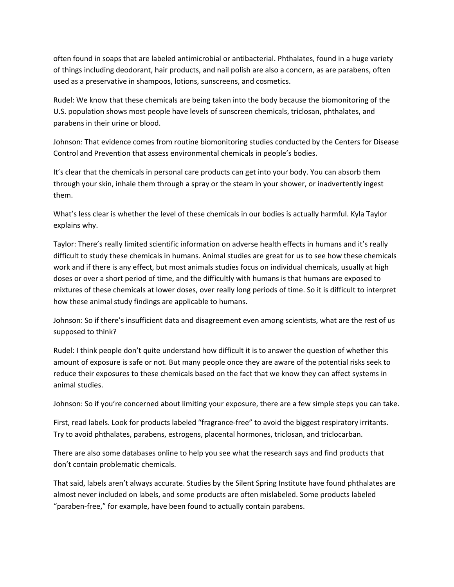often found in soaps that are labeled antimicrobial or antibacterial. Phthalates, found in a huge variety of things including deodorant, hair products, and nail polish are also a concern, as are parabens, often used as a preservative in shampoos, lotions, sunscreens, and cosmetics.

 Rudel: We know that these chemicals are being taken into the body because the biomonitoring of the U.S. population shows most people have levels of sunscreen chemicals, triclosan, phthalates, and parabens in their urine or blood.

 Johnson: That evidence comes from routine biomonitoring studies conducted by the Centers for Disease Control and Prevention that assess environmental chemicals in people's bodies.

 It's clear that the chemicals in personal care products can get into your body. You can absorb them through your skin, inhale them through a spray or the steam in your shower, or inadvertently ingest them.

 What's less clear is whether the level of these chemicals in our bodies is actually harmful. Kyla Taylor explains why.

 Taylor: There's really limited scientific information on adverse health effects in humans and it's really difficult to study these chemicals in humans. Animal studies are great for us to see how these chemicals work and if there is any effect, but most animals studies focus on individual chemicals, usually at high doses or over a short period of time, and the difficultly with humans is that humans are exposed to mixtures of these chemicals at lower doses, over really long periods of time. So it is difficult to interpret how these animal study findings are applicable to humans.

 Johnson: So if there's insufficient data and disagreement even among scientists, what are the rest of us supposed to think?

 Rudel: I think people don't quite understand how difficult it is to answer the question of whether this amount of exposure is safe or not. But many people once they are aware of the potential risks seek to reduce their exposures to these chemicals based on the fact that we know they can affect systems in animal studies.

Johnson: So if you're concerned about limiting your exposure, there are a few simple steps you can take.

 First, read labels. Look for products labeled "fragrance‐free" to avoid the biggest respiratory irritants. Try to avoid phthalates, parabens, estrogens, placental hormones, triclosan, and triclocarban.

 There are also some databases online to help you see what the research says and find products that don't contain problematic chemicals.

 That said, labels aren't always accurate. Studies by the Silent Spring Institute have found phthalates are almost never included on labels, and some products are often mislabeled. Some products labeled "paraben‐free," for example, have been found to actually contain parabens.